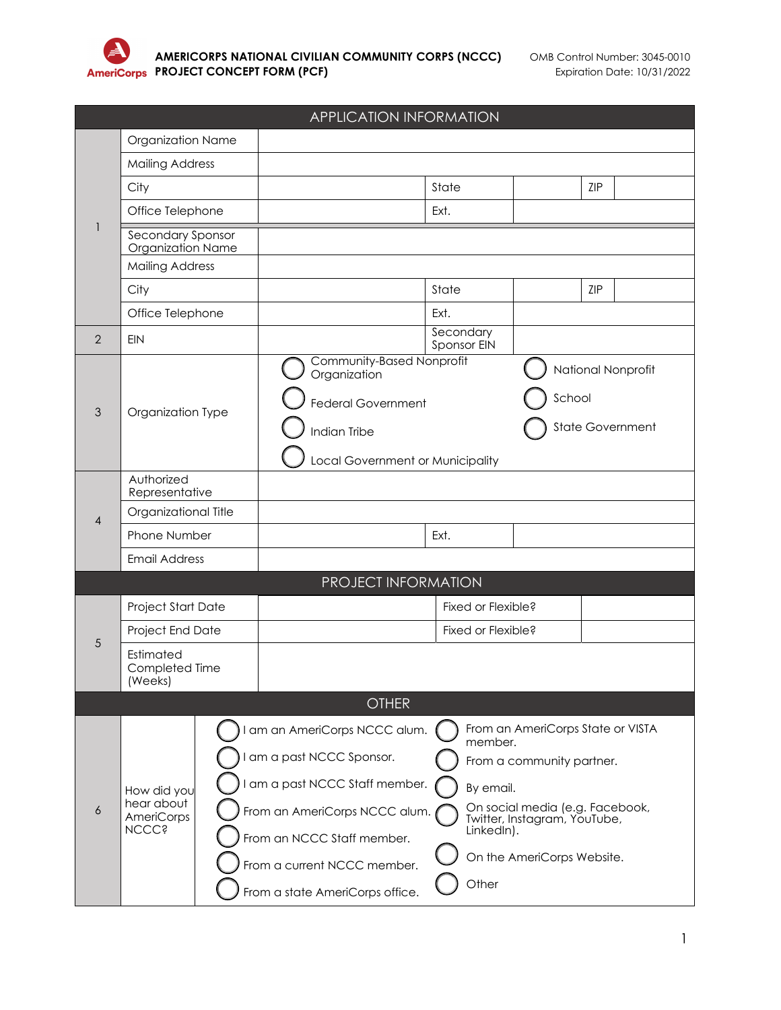

| <b>APPLICATION INFORMATION</b> |                                                           |  |                                           |                   |                                                                 |     |                         |
|--------------------------------|-----------------------------------------------------------|--|-------------------------------------------|-------------------|-----------------------------------------------------------------|-----|-------------------------|
|                                | Organization Name                                         |  |                                           |                   |                                                                 |     |                         |
|                                | <b>Mailing Address</b>                                    |  |                                           |                   |                                                                 |     |                         |
|                                | City                                                      |  |                                           | State             |                                                                 | ZIP |                         |
|                                | Office Telephone                                          |  |                                           | Ext.              |                                                                 |     |                         |
|                                | Secondary Sponsor<br>Organization Name                    |  |                                           |                   |                                                                 |     |                         |
|                                | <b>Mailing Address</b>                                    |  |                                           |                   |                                                                 |     |                         |
|                                | City                                                      |  |                                           | State             |                                                                 | ZIP |                         |
|                                | Office Telephone                                          |  |                                           | Ext.<br>Secondary |                                                                 |     |                         |
| $\overline{2}$                 | <b>EIN</b>                                                |  |                                           | Sponsor EIN       |                                                                 |     |                         |
|                                |                                                           |  | Community-Based Nonprofit<br>Organization |                   |                                                                 |     | National Nonprofit      |
|                                |                                                           |  |                                           |                   | School                                                          |     |                         |
| 3                              | Organization Type                                         |  | <b>Federal Government</b>                 |                   |                                                                 |     |                         |
|                                |                                                           |  | Indian Tribe                              |                   |                                                                 |     | <b>State Government</b> |
|                                |                                                           |  | Local Government or Municipality          |                   |                                                                 |     |                         |
|                                | Authorized<br>Representative                              |  |                                           |                   |                                                                 |     |                         |
| 4                              | Organizational Title                                      |  |                                           |                   |                                                                 |     |                         |
|                                | Phone Number                                              |  |                                           | Ext.              |                                                                 |     |                         |
|                                | <b>Email Address</b>                                      |  |                                           |                   |                                                                 |     |                         |
|                                |                                                           |  | PROJECT INFORMATION                       |                   |                                                                 |     |                         |
|                                | Project Start Date                                        |  |                                           |                   | Fixed or Flexible?                                              |     |                         |
|                                | Project End Date                                          |  |                                           |                   | Fixed or Flexible?                                              |     |                         |
| 5                              | Estimated<br>Completed Time<br>(Weeks)                    |  |                                           |                   |                                                                 |     |                         |
|                                |                                                           |  | <b>OTHER</b>                              |                   |                                                                 |     |                         |
|                                |                                                           |  | am an AmeriCorps NCCC alum.               |                   | From an AmeriCorps State or VISTA                               |     |                         |
|                                |                                                           |  | am a past NCCC Sponsor.                   | member.           |                                                                 |     |                         |
|                                |                                                           |  |                                           |                   | From a community partner.                                       |     |                         |
| 6                              | How did you<br>hear about<br>AmeriCorps<br><b>NCCC</b> \$ |  | am a past NCCC Staff member.              | By email.         |                                                                 |     |                         |
|                                |                                                           |  | From an AmeriCorps NCCC alum.             |                   | On social media (e.g. Facebook,<br>Twitter, Instagram, YouTube, |     |                         |
|                                |                                                           |  | From an NCCC Staff member.                | LinkedIn).        |                                                                 |     |                         |
|                                |                                                           |  | From a current NCCC member.               |                   | On the AmeriCorps Website.                                      |     |                         |
|                                |                                                           |  | From a state AmeriCorps office.           | Other             |                                                                 |     |                         |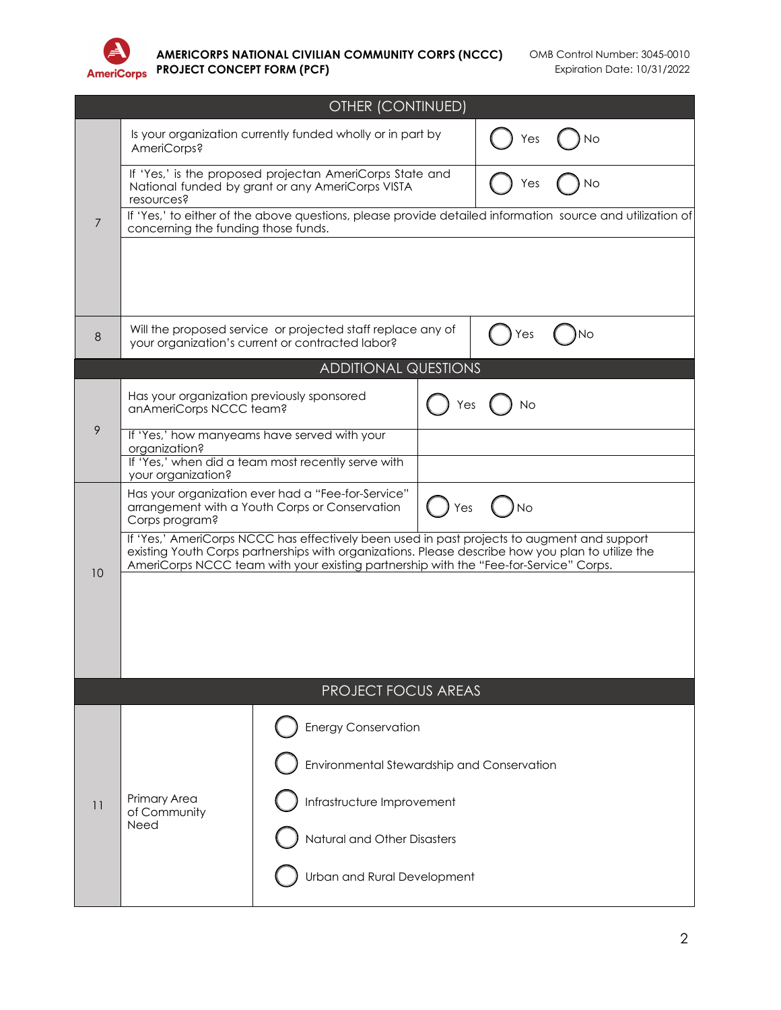

|    | OTHER (CONTINUED)                                                                                                                                                                                                                                                                         |                                                                                                                 |     |     |    |  |
|----|-------------------------------------------------------------------------------------------------------------------------------------------------------------------------------------------------------------------------------------------------------------------------------------------|-----------------------------------------------------------------------------------------------------------------|-----|-----|----|--|
|    | Is your organization currently funded wholly or in part by<br>AmeriCorps?                                                                                                                                                                                                                 |                                                                                                                 |     | Yes | Νo |  |
|    | If 'Yes,' is the proposed projectan AmeriCorps State and<br>National funded by grant or any AmeriCorps VISTA<br>resources?                                                                                                                                                                |                                                                                                                 |     | Yes | No |  |
| 7  | If 'Yes,' to either of the above questions, please provide detailed information source and utilization of<br>concerning the funding those funds.                                                                                                                                          |                                                                                                                 |     |     |    |  |
|    |                                                                                                                                                                                                                                                                                           |                                                                                                                 |     |     |    |  |
| 8  |                                                                                                                                                                                                                                                                                           | Will the proposed service or projected staff replace any of<br>your organization's current or contracted labor? |     | Yes | Νo |  |
|    |                                                                                                                                                                                                                                                                                           | <b>ADDITIONAL QUESTIONS</b>                                                                                     |     |     |    |  |
|    | Has your organization previously sponsored<br>anAmeriCorps NCCC team?                                                                                                                                                                                                                     |                                                                                                                 | Yes | No  |    |  |
| 9  | If 'Yes,' how manyeams have served with your<br>organization?                                                                                                                                                                                                                             |                                                                                                                 |     |     |    |  |
|    | If 'Yes,' when did a team most recently serve with<br>your organization?                                                                                                                                                                                                                  |                                                                                                                 |     |     |    |  |
|    | Has your organization ever had a "Fee-for-Service"<br>arrangement with a Youth Corps or Conservation<br>Yes<br>No<br>Corps program?                                                                                                                                                       |                                                                                                                 |     |     |    |  |
| 10 | If 'Yes,' AmeriCorps NCCC has effectively been used in past projects to augment and support<br>existing Youth Corps partnerships with organizations. Please describe how you plan to utilize the<br>AmeriCorps NCCC team with your existing partnership with the "Fee-for-Service" Corps. |                                                                                                                 |     |     |    |  |
|    |                                                                                                                                                                                                                                                                                           |                                                                                                                 |     |     |    |  |
|    |                                                                                                                                                                                                                                                                                           |                                                                                                                 |     |     |    |  |
|    |                                                                                                                                                                                                                                                                                           |                                                                                                                 |     |     |    |  |
|    |                                                                                                                                                                                                                                                                                           | <b>PROJECT FOCUS AREAS</b>                                                                                      |     |     |    |  |
|    |                                                                                                                                                                                                                                                                                           | <b>Energy Conservation</b>                                                                                      |     |     |    |  |
|    |                                                                                                                                                                                                                                                                                           | Environmental Stewardship and Conservation                                                                      |     |     |    |  |
|    |                                                                                                                                                                                                                                                                                           |                                                                                                                 |     |     |    |  |
| 11 | Primary Area<br>of Community<br>Need                                                                                                                                                                                                                                                      | Infrastructure Improvement                                                                                      |     |     |    |  |
|    |                                                                                                                                                                                                                                                                                           | Natural and Other Disasters                                                                                     |     |     |    |  |
|    |                                                                                                                                                                                                                                                                                           | Urban and Rural Development                                                                                     |     |     |    |  |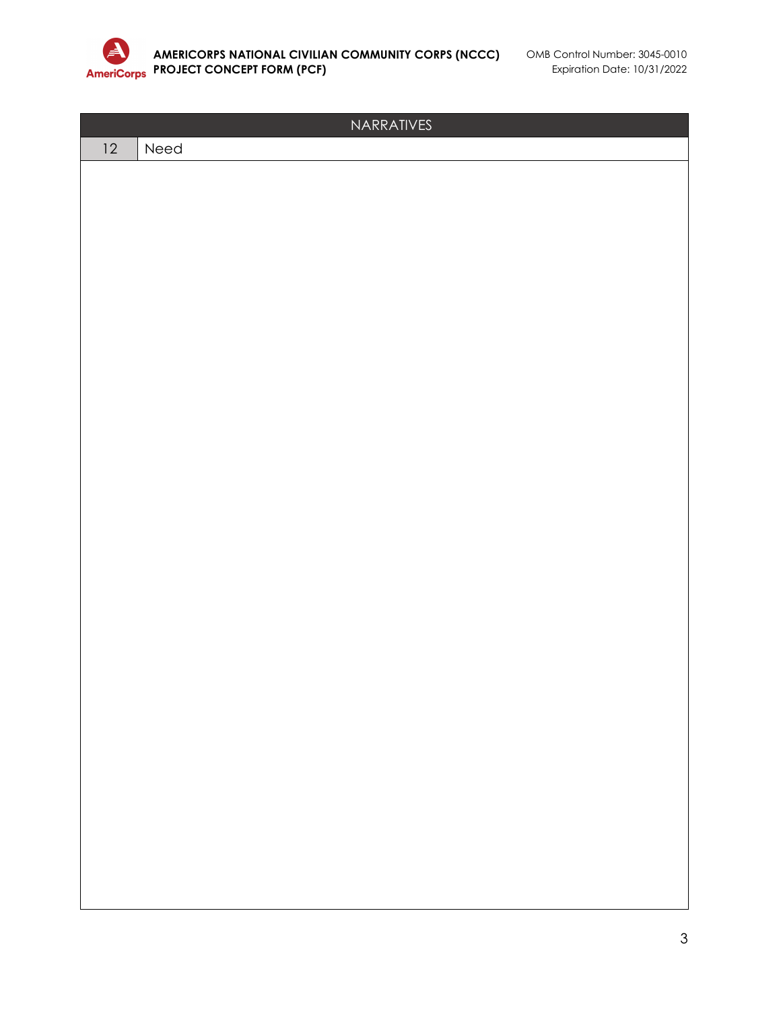

|         | NARRATIVES |
|---------|------------|
| $12 \,$ | Need       |
|         |            |
|         |            |
|         |            |
|         |            |
|         |            |
|         |            |
|         |            |
|         |            |
|         |            |
|         |            |
|         |            |
|         |            |
|         |            |
|         |            |
|         |            |
|         |            |
|         |            |
|         |            |
|         |            |
|         |            |
|         |            |
|         |            |
|         |            |
|         |            |
|         |            |
|         |            |
|         |            |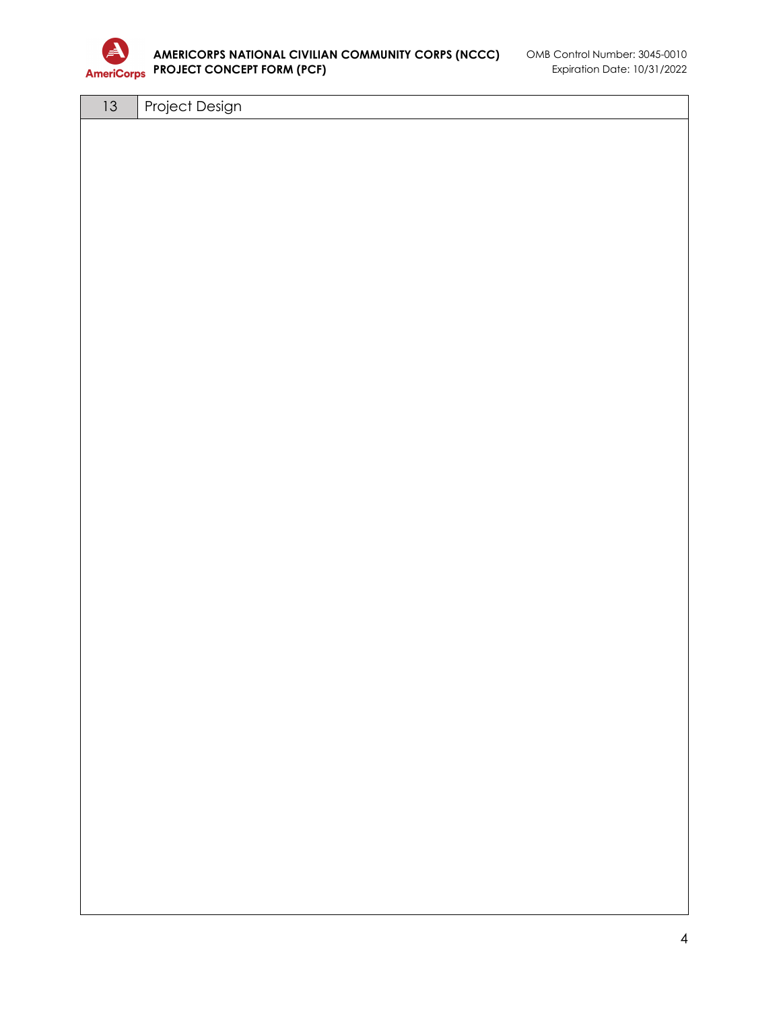

## **AMERICORPS NATIONAL CIVILIAN COMMUNITY CORPS (NCCC)** OMB Control Number: 3045-0010 **PROJECT CONCEPT FORM (PCF)** Expiration Date: 10/31/2022

13 | Project Design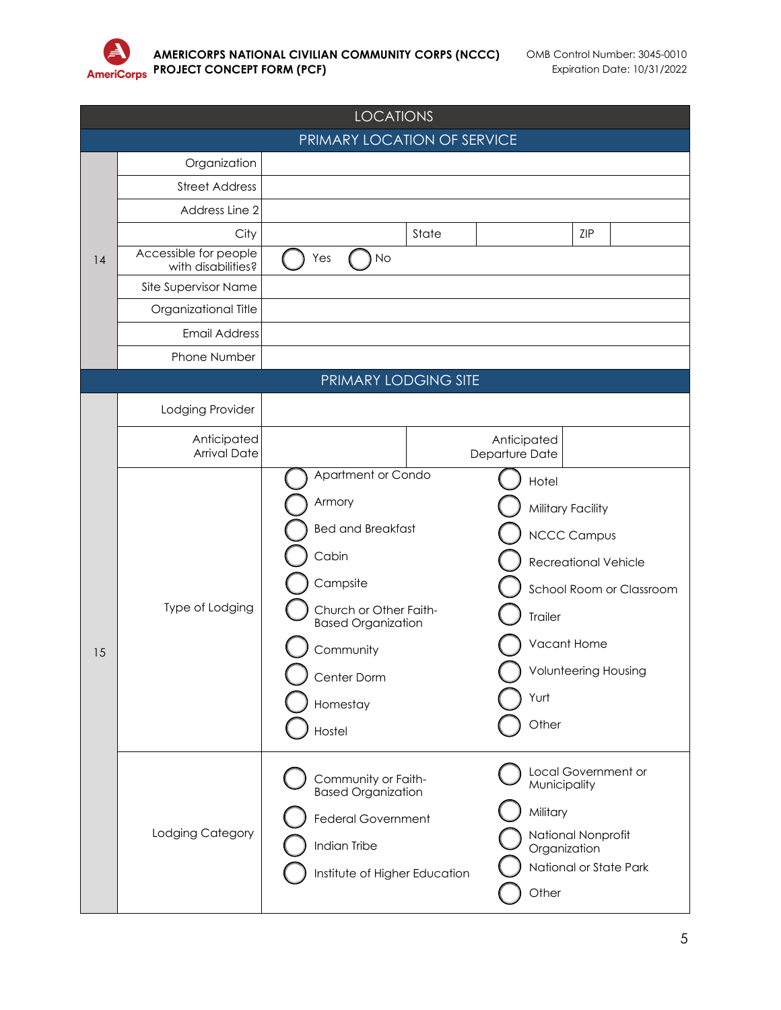

|    | <b>LOCATIONS</b>                            |                                                                                                                                                                                                                                                                                                                                                                                 |  |  |  |
|----|---------------------------------------------|---------------------------------------------------------------------------------------------------------------------------------------------------------------------------------------------------------------------------------------------------------------------------------------------------------------------------------------------------------------------------------|--|--|--|
|    |                                             | PRIMARY LOCATION OF SERVICE                                                                                                                                                                                                                                                                                                                                                     |  |  |  |
|    | Organization                                |                                                                                                                                                                                                                                                                                                                                                                                 |  |  |  |
| 14 | <b>Street Address</b>                       |                                                                                                                                                                                                                                                                                                                                                                                 |  |  |  |
|    | Address Line 2                              |                                                                                                                                                                                                                                                                                                                                                                                 |  |  |  |
|    | City                                        | State<br>ZIP                                                                                                                                                                                                                                                                                                                                                                    |  |  |  |
|    | Accessible for people<br>with disabilities? | No<br>Yes                                                                                                                                                                                                                                                                                                                                                                       |  |  |  |
|    | Site Supervisor Name                        |                                                                                                                                                                                                                                                                                                                                                                                 |  |  |  |
|    | Organizational Title                        |                                                                                                                                                                                                                                                                                                                                                                                 |  |  |  |
|    | <b>Email Address</b>                        |                                                                                                                                                                                                                                                                                                                                                                                 |  |  |  |
|    | Phone Number                                |                                                                                                                                                                                                                                                                                                                                                                                 |  |  |  |
|    |                                             | PRIMARY LODGING SITE                                                                                                                                                                                                                                                                                                                                                            |  |  |  |
| 15 | Lodging Provider                            |                                                                                                                                                                                                                                                                                                                                                                                 |  |  |  |
|    | Anticipated                                 | Anticipated                                                                                                                                                                                                                                                                                                                                                                     |  |  |  |
|    | <b>Arrival Date</b>                         | Departure Date                                                                                                                                                                                                                                                                                                                                                                  |  |  |  |
|    | Type of Lodging                             | Apartment or Condo<br>Hotel<br>Armory<br>Military Facility<br><b>Bed and Breakfast</b><br><b>NCCC Campus</b><br>Cabin<br><b>Recreational Vehicle</b><br>Campsite<br>School Room or Classroom<br>Church or Other Faith-<br>Trailer<br><b>Based Organization</b><br>Vacant Home<br>Community<br><b>Volunteering Housing</b><br>Center Dorm<br>Yurt<br>Homestay<br>Other<br>Hostel |  |  |  |
|    | Lodging Category                            | Local Government or<br>Community or Faith-<br>Municipality<br><b>Based Organization</b><br>Military<br><b>Federal Government</b><br>National Nonprofit<br>Indian Tribe<br>Organization<br>National or State Park<br>Institute of Higher Education<br>Other                                                                                                                      |  |  |  |